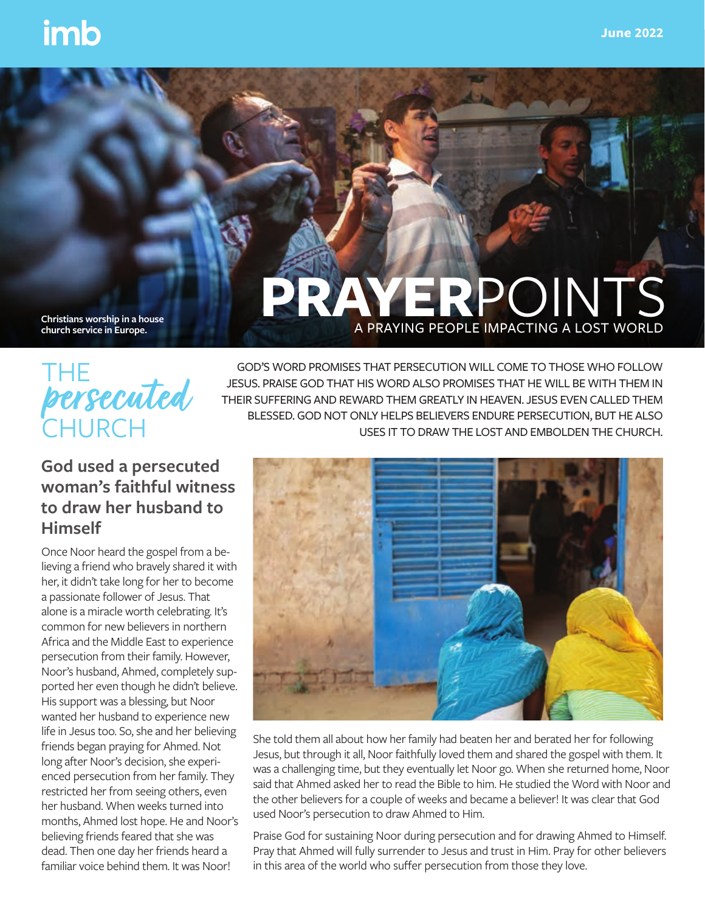**PRAYER**POINTS

A PRAYING PEOPLE IMPACTING A LOST WORLD

**Christians worship in a house church service in Europe.**

# THE **CHURCH persecuted**

GOD'S WORD PROMISES THAT PERSECUTION WILL COME TO THOSE WHO FOLLOW JESUS. PRAISE GOD THAT HIS WORD ALSO PROMISES THAT HE WILL BE WITH THEM IN THEIR SUFFERING AND REWARD THEM GREATLY IN HEAVEN. JESUS EVEN CALLED THEM BLESSED. GOD NOT ONLY HELPS BELIEVERS ENDURE PERSECUTION, BUT HE ALSO USES IT TO DRAW THE LOST AND EMBOLDEN THE CHURCH.

## **God used a persecuted woman's faithful witness to draw her husband to Himself**

Once Noor heard the gospel from a believing a friend who bravely shared it with her, it didn't take long for her to become a passionate follower of Jesus. That alone is a miracle worth celebrating. It's common for new believers in northern Africa and the Middle East to experience persecution from their family. However, Noor's husband, Ahmed, completely supported her even though he didn't believe. His support was a blessing, but Noor wanted her husband to experience new life in Jesus too. So, she and her believing friends began praying for Ahmed. Not long after Noor's decision, she experienced persecution from her family. They restricted her from seeing others, even her husband. When weeks turned into months, Ahmed lost hope. He and Noor's believing friends feared that she was dead. Then one day her friends heard a familiar voice behind them. It was Noor!



She told them all about how her family had beaten her and berated her for following Jesus, but through it all, Noor faithfully loved them and shared the gospel with them. It was a challenging time, but they eventually let Noor go. When she returned home, Noor said that Ahmed asked her to read the Bible to him. He studied the Word with Noor and the other believers for a couple of weeks and became a believer! It was clear that God used Noor's persecution to draw Ahmed to Him.

Praise God for sustaining Noor during persecution and for drawing Ahmed to Himself. Pray that Ahmed will fully surrender to Jesus and trust in Him. Pray for other believers in this area of the world who suffer persecution from those they love.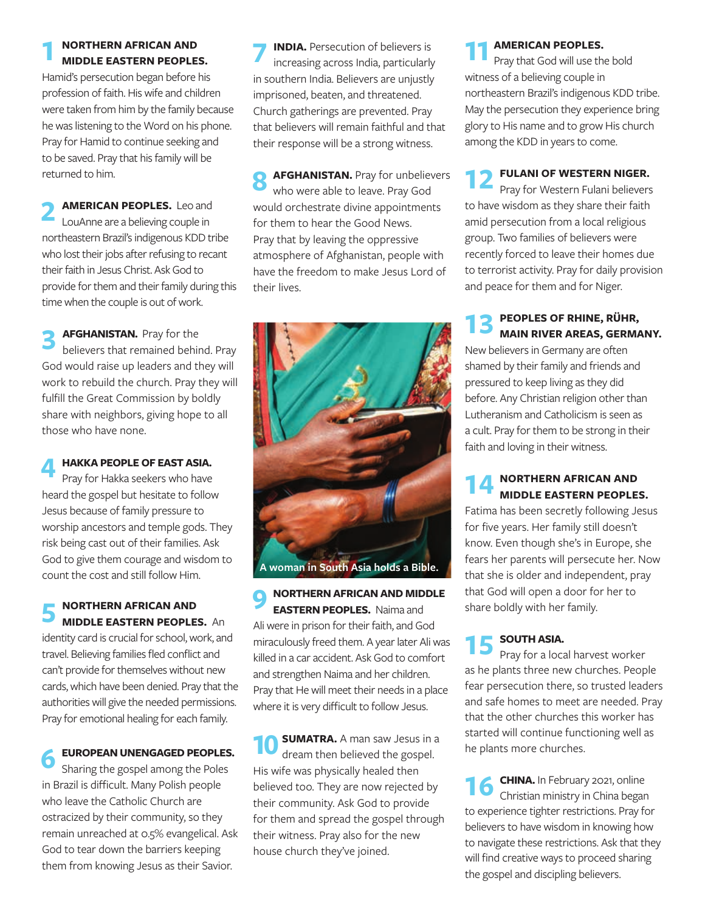#### **1 NORTHERN AFRICAN AND MIDDLE EASTERN PEOPLES.**

Hamid's persecution began before his profession of faith. His wife and children were taken from him by the family because he was listening to the Word on his phone. Pray for Hamid to continue seeking and to be saved. Pray that his family will be returned to him.

**2 AMERICAN PEOPLES.** Leo and LouAnne are a believing couple in northeastern Brazil's indigenous KDD tribe who lost their jobs after refusing to recant their faith in Jesus Christ. Ask God to provide for them and their family during this time when the couple is out of work.

**3 AFGHANISTAN.** Pray for the behind. Pray God would raise up leaders and they will work to rebuild the church. Pray they will fulfill the Great Commission by boldly share with neighbors, giving hope to all those who have none.

**4 HAKKA PEOPLE OF EAST ASIA.**  Pray for Hakka seekers who have heard the gospel but hesitate to follow Jesus because of family pressure to worship ancestors and temple gods. They risk being cast out of their families. Ask God to give them courage and wisdom to count the cost and still follow Him.

**5 NORTHERN AFRICAN AND MIDDLE EASTERN PEOPLES.** An identity card is crucial for school, work, and travel. Believing families fled conflict and can't provide for themselves without new cards, which have been denied. Pray that the authorities will give the needed permissions. Pray for emotional healing for each family.

**6 EUROPEAN UNENGAGED PEOPLES.**<br> **6** Sharing the gospel among the Poles in Brazil is difficult. Many Polish people who leave the Catholic Church are ostracized by their community, so they remain unreached at 0.5% evangelical. Ask God to tear down the barriers keeping them from knowing Jesus as their Savior.

**INDIA.** Persecution of believers is increasing across India, particularly in southern India. Believers are unjustly imprisoned, beaten, and threatened. Church gatherings are prevented. Pray that believers will remain faithful and that their response will be a strong witness.

**8 AFGHANISTAN.** Pray for unbelievers who were able to leave. Pray God would orchestrate divine appointments for them to hear the Good News. Pray that by leaving the oppressive atmosphere of Afghanistan, people with have the freedom to make Jesus Lord of their lives.



**9 NORTHERN AFRICAN AND MIDDLE EASTERN PEOPLES.** Naima and Ali were in prison for their faith, and God miraculously freed them. A year later Ali was killed in a car accident. Ask God to comfort and strengthen Naima and her children. Pray that He will meet their needs in a place where it is very difficult to follow Jesus.

**10 SUMATRA.** A man saw Jesus in a dream then believed the gospel. His wife was physically healed then believed too. They are now rejected by their community. Ask God to provide for them and spread the gospel through their witness. Pray also for the new house church they've joined.

**11 AMERICAN PEOPLES.**<br>Pray that God will use the bold witness of a believing couple in northeastern Brazil's indigenous KDD tribe. May the persecution they experience bring glory to His name and to grow His church among the KDD in years to come.

**12 FULANI OF WESTERN NIGER.**<br> **Pray for Western Fulani believers** to have wisdom as they share their faith amid persecution from a local religious group. Two families of believers were recently forced to leave their homes due to terrorist activity. Pray for daily provision and peace for them and for Niger.

**13** PEOPLES OF RHINE, RÜHR, MAIN RIVER AREAS, GERMANY.

New believers in Germany are often shamed by their family and friends and pressured to keep living as they did before. Any Christian religion other than Lutheranism and Catholicism is seen as a cult. Pray for them to be strong in their faith and loving in their witness.

# **14 NORTHERN AFRICAN AND MIDDLE EASTERN PEOPLES.**

Fatima has been secretly following Jesus for five years. Her family still doesn't know. Even though she's in Europe, she fears her parents will persecute her. Now that she is older and independent, pray that God will open a door for her to share boldly with her family.

**15 SOUTH ASIA.**<br> **Pray for a local harvest worker** as he plants three new churches. People fear persecution there, so trusted leaders and safe homes to meet are needed. Pray that the other churches this worker has started will continue functioning well as he plants more churches.

**16 CHINA.** In February 2021, online Christian ministry in China began to experience tighter restrictions. Pray for believers to have wisdom in knowing how to navigate these restrictions. Ask that they will find creative ways to proceed sharing the gospel and discipling believers.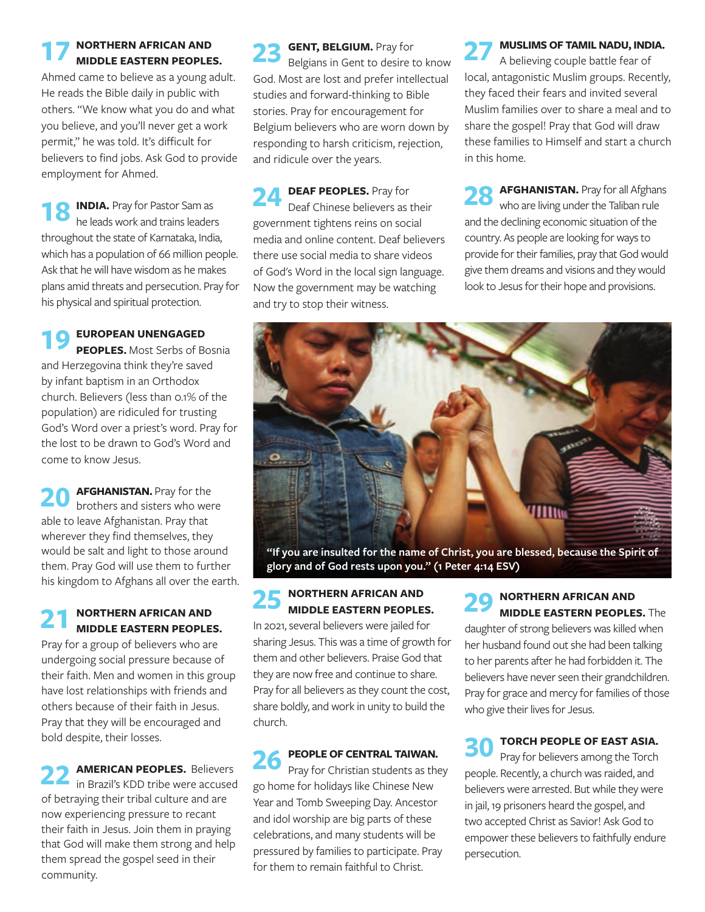# **17 NORTHERN AFRICAN AND MIDDLE EASTERN PEOPLES.**

Ahmed came to believe as a young adult. He reads the Bible daily in public with others. "We know what you do and what you believe, and you'll never get a work permit," he was told. It's difficult for believers to find jobs. Ask God to provide employment for Ahmed.

**INDIA.** Pray for Pastor Sam as he leads work and trains leaders throughout the state of Karnataka, India, which has a population of 66 million people. Ask that he will have wisdom as he makes plans amid threats and persecution. Pray for his physical and spiritual protection.

## **19 EUROPEAN UNENGAGED PEOPLES.** Most Serbs of Bosnia and Herzegovina think they're saved

by infant baptism in an Orthodox church. Believers (less than 0.1% of the population) are ridiculed for trusting God's Word over a priest's word. Pray for the lost to be drawn to God's Word and come to know Jesus.

**20 AFGHANISTAN.** Pray for the brothers and sisters who were able to leave Afghanistan. Pray that wherever they find themselves, they would be salt and light to those around them. Pray God will use them to further his kingdom to Afghans all over the earth.

# **21 NORTHERN AFRICAN AND MIDDLE EASTERN PEOPLES.**

Pray for a group of believers who are undergoing social pressure because of their faith. Men and women in this group have lost relationships with friends and others because of their faith in Jesus. Pray that they will be encouraged and bold despite, their losses.

**22 AMERICAN PEOPLES.** Believers in Brazil's KDD tribe were accused of betraying their tribal culture and are now experiencing pressure to recant their faith in Jesus. Join them in praying that God will make them strong and help them spread the gospel seed in their community.

23 **GENT, BELGIUM.** Pray for<br>Belgians in Gent to desire to know God. Most are lost and prefer intellectual studies and forward-thinking to Bible stories. Pray for encouragement for Belgium believers who are worn down by responding to harsh criticism, rejection, and ridicule over the years.

**24 DEAF PEOPLES.** Pray for<br>Deaf Chinese believers as their government tightens reins on social media and online content. Deaf believers there use social media to share videos of God's Word in the local sign language. Now the government may be watching and try to stop their witness.

**27 MUSLIMS OF TAMIL NADU, INDIA.**<br>A believing couple battle fear of local, antagonistic Muslim groups. Recently, they faced their fears and invited several Muslim families over to share a meal and to share the gospel! Pray that God will draw these families to Himself and start a church in this home.

**28 AFGHANISTAN.** Pray for all Afghans who are living under the Taliban rule and the declining economic situation of the country. As people are looking for ways to provide for their families, pray that God would give them dreams and visions and they would look to Jesus for their hope and provisions.



**"If you are insulted for the name of Christ, you are blessed, because the Spirit of glory and of God rests upon you." (1 Peter 4:14 ESV)**

# **25 NORTHERN AFRICAN AND MIDDLE EASTERN PEOPLES.**

In 2021, several believers were jailed for sharing Jesus. This was a time of growth for them and other believers. Praise God that they are now free and continue to share. Pray for all believers as they count the cost, share boldly, and work in unity to build the church.

**26 PEOPLE OF CENTRAL TAIWAN.**<br> **Pray for Christian students as they** go home for holidays like Chinese New Year and Tomb Sweeping Day. Ancestor and idol worship are big parts of these celebrations, and many students will be pressured by families to participate. Pray for them to remain faithful to Christ.

### **29 NORTHERN AFRICAN AND MIDDLE EASTERN PEOPLES.** The daughter of strong believers was killed when

her husband found out she had been talking to her parents after he had forbidden it. The believers have never seen their grandchildren. Pray for grace and mercy for families of those who give their lives for Jesus.

**30 TORCH PEOPLE OF EAST ASIA.**<br>
Pray for believers among the Torch people. Recently, a church was raided, and believers were arrested. But while they were in jail, 19 prisoners heard the gospel, and two accepted Christ as Savior! Ask God to empower these believers to faithfully endure persecution.